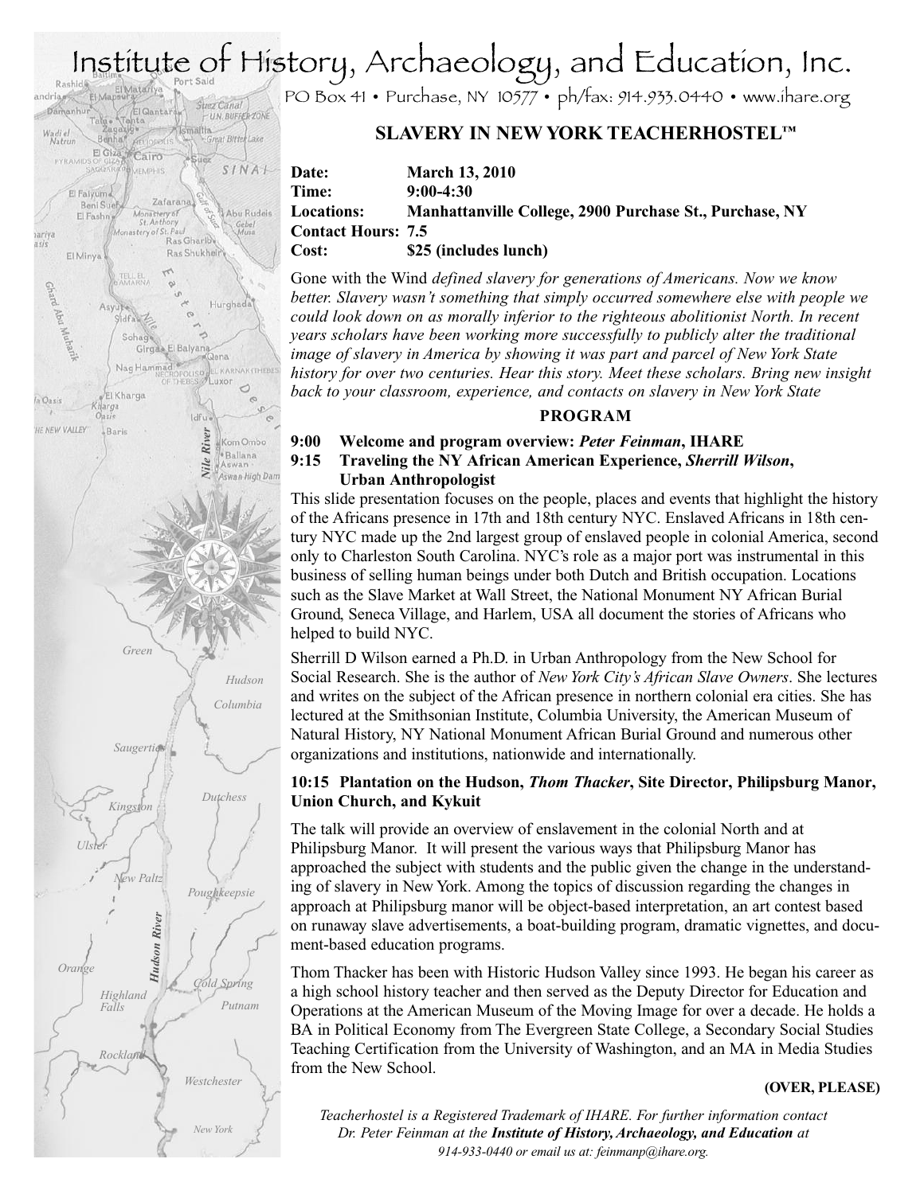# Institute of History, Archaeology, and Education, Inc.



PO Box 41 • Purchase, NY 10577 • ph/fax: 914.933.0440 • www.ihare.org

# **SLAVERY IN NEWYORK TEACHERHOSTEL™**

### **Date: March 13, 2010 Time: 9:00-4:30 Locations: Manhattanville College, 2900 Purchase St., Purchase, NY Contact Hours: 7.5 Cost: \$25 (includes lunch)**

Gone with the Wind *defined slavery for generations of Americans. Now we know better. Slavery wasn't something that simply occurred somewhere else with people we could look down on as morally inferior to the righteous abolitionist North. In recent years scholars have been working more successfully to publicly alter the traditional image of slavery in America by showing it was part and parcel of New York State history for over two centuries. Hear this story. Meet these scholars. Bring new insight back to your classroom, experience, and contacts on slavery in New York State*

## **PROGRAM**

### **9:00 Welcome and program overview:** *Peter Feinman***, IHARE**

### **9:15 Traveling the NY African American Experience,** *Sherrill Wilson***, Urban Anthropologist**

This slide presentation focuses on the people, places and events that highlight the history of the Africans presence in 17th and 18th century NYC. Enslaved Africans in 18th century NYC made up the 2nd largest group of enslaved people in colonial America, second only to Charleston South Carolina. NYC's role as a major port was instrumental in this business of selling human beings under both Dutch and British occupation. Locations such as the Slave Market at Wall Street, the National Monument NY African Burial Ground, Seneca Village, and Harlem, USA all document the stories of Africans who helped to build NYC.

Sherrill D Wilson earned a Ph.D. in Urban Anthropology from the New School for Social Research. She is the author of *NewYork City's African Slave Owners*. She lectures and writes on the subject of the African presence in northern colonial era cities. She has lectured at the Smithsonian Institute, Columbia University, the American Museum of Natural History, NY National Monument African Burial Ground and numerous other organizations and institutions, nationwide and internationally.

## **10:15 Plantation on the Hudson,** *Thom Thacker***, Site Director, Philipsburg Manor, Union Church, and Kykuit**

The talk will provide an overview of enslavement in the colonial North and at Philipsburg Manor. It will present the various ways that Philipsburg Manor has approached the subject with students and the public given the change in the understanding of slavery in New York. Among the topics of discussion regarding the changes in approach at Philipsburg manor will be object-based interpretation, an art contest based on runaway slave advertisements, a boat-building program, dramatic vignettes, and document-based education programs.

Thom Thacker has been with Historic Hudson Valley since 1993. He began his career as a high school history teacher and then served as the Deputy Director for Education and Operations at the American Museum of the Moving Image for over a decade. He holds a BA in Political Economy from The Evergreen State College, a Secondary Social Studies Teaching Certification from the University of Washington, and an MA in Media Studies from the New School.

### **(OVER, PLEASE)**

*Teacherhostel is a Registered Trademark of IHARE. For further information contact Dr. Peter Feinman at the Institute of History,Archaeology, and Education at 914-933-0440 or email us at: feinmanp@ihare.org.*